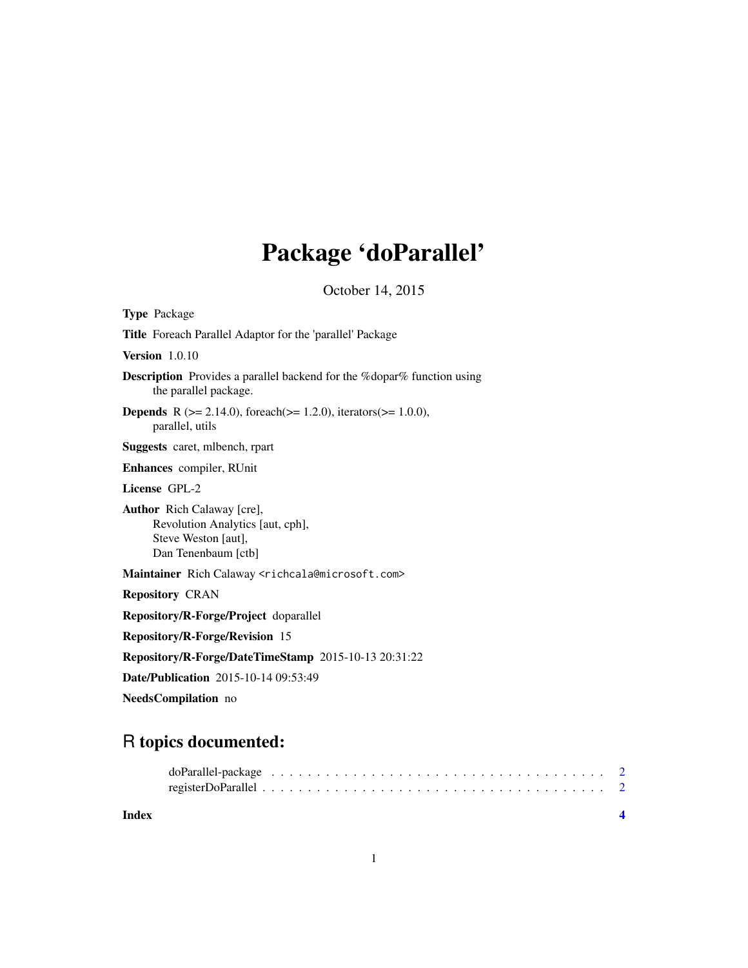# Package 'doParallel'

October 14, 2015

<span id="page-0-0"></span>

| <b>Type Package</b>                                                                                                 |
|---------------------------------------------------------------------------------------------------------------------|
| Title Foreach Parallel Adaptor for the 'parallel' Package                                                           |
| Version $1.0.10$                                                                                                    |
| <b>Description</b> Provides a parallel backend for the %dopar% function using<br>the parallel package.              |
| <b>Depends</b> R ( $> = 2.14.0$ ), for each ( $> = 1.2.0$ ), iterators ( $> = 1.0.0$ ),<br>parallel, utils          |
| <b>Suggests</b> caret, mibench, rpart                                                                               |
| Enhances compiler, RUnit                                                                                            |
| License GPL-2                                                                                                       |
| <b>Author</b> Rich Calaway [cre],<br>Revolution Analytics [aut, cph],<br>Steve Weston [aut],<br>Dan Tenenbaum [ctb] |
| Maintainer Rich Calaway <richcala@microsoft.com></richcala@microsoft.com>                                           |
| <b>Repository CRAN</b>                                                                                              |
| Repository/R-Forge/Project doparallel                                                                               |
| <b>Repository/R-Forge/Revision 15</b>                                                                               |
| Repository/R-Forge/DateTimeStamp 2015-10-13 20:31:22                                                                |
| <b>Date/Publication</b> 2015-10-14 09:53:49                                                                         |
| NeedsCompilation no                                                                                                 |

# R topics documented:

| Index |  |  |  |  |  |  |  |  |  |  |  |  |  |  |  |  |
|-------|--|--|--|--|--|--|--|--|--|--|--|--|--|--|--|--|
|       |  |  |  |  |  |  |  |  |  |  |  |  |  |  |  |  |

1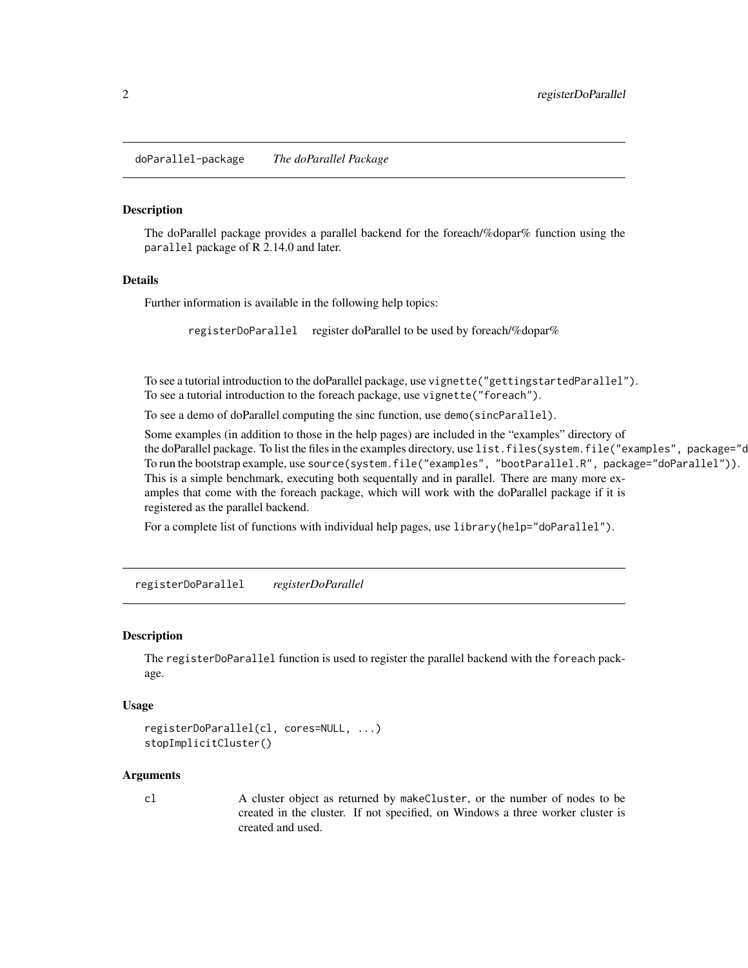<span id="page-1-0"></span>doParallel-package *The doParallel Package*

#### Description

The doParallel package provides a parallel backend for the foreach/%dopar% function using the parallel package of R 2.14.0 and later.

#### Details

Further information is available in the following help topics:

registerDoParallel register doParallel to be used by foreach/%dopar%

To see a tutorial introduction to the doParallel package, use vignette("gettingstartedParallel"). To see a tutorial introduction to the foreach package, use vignette("foreach").

To see a demo of doParallel computing the sinc function, use demo(sincParallel).

Some examples (in addition to those in the help pages) are included in the "examples" directory of the doParallel package. To list the files in the examples directory, use list.files(system.file("examples", package="c To run the bootstrap example, use source(system.file("examples", "bootParallel.R", package="doParallel")). This is a simple benchmark, executing both sequentally and in parallel. There are many more examples that come with the foreach package, which will work with the doParallel package if it is registered as the parallel backend.

For a complete list of functions with individual help pages, use library(help="doParallel").

registerDoParallel *registerDoParallel*

### **Description**

The registerDoParallel function is used to register the parallel backend with the foreach package.

### Usage

```
registerDoParallel(cl, cores=NULL, ...)
stopImplicitCluster()
```
#### Arguments

cl A cluster object as returned by makeCluster, or the number of nodes to be created in the cluster. If not specified, on Windows a three worker cluster is created and used.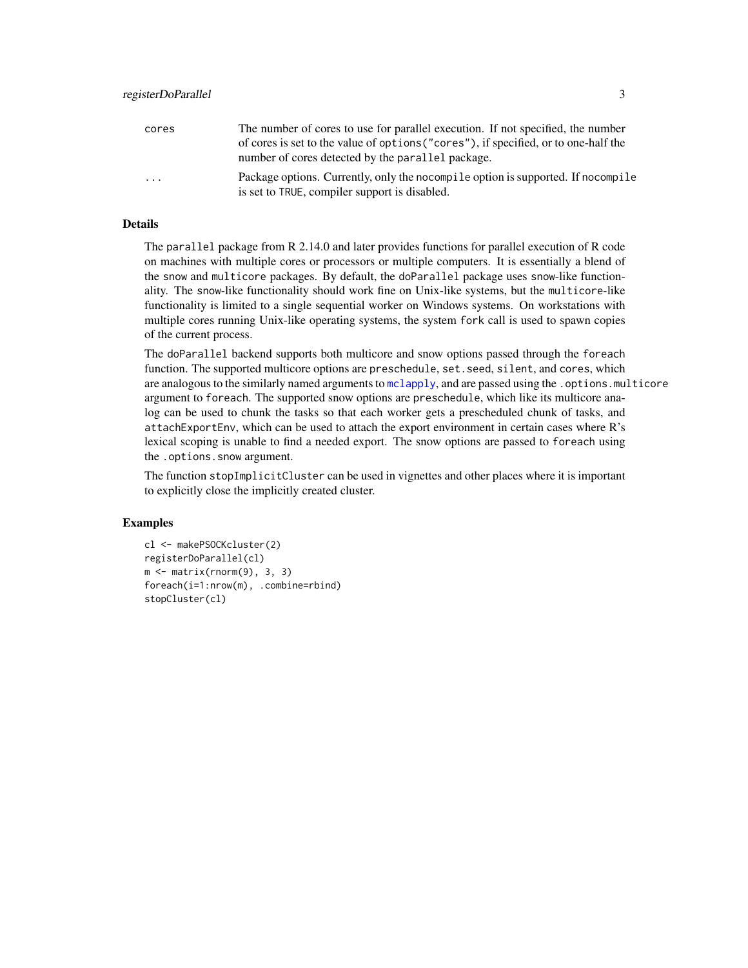<span id="page-2-0"></span>

| cores    | The number of cores to use for parallel execution. If not specified, the number     |
|----------|-------------------------------------------------------------------------------------|
|          | of cores is set to the value of options ("cores"), if specified, or to one-half the |
|          | number of cores detected by the parallel package.                                   |
| $\cdots$ | Package options. Currently, only the nocompile option is supported. If nocompile    |
|          | is set to TRUE, compiler support is disabled.                                       |

# Details

The parallel package from R 2.14.0 and later provides functions for parallel execution of R code on machines with multiple cores or processors or multiple computers. It is essentially a blend of the snow and multicore packages. By default, the doParallel package uses snow-like functionality. The snow-like functionality should work fine on Unix-like systems, but the multicore-like functionality is limited to a single sequential worker on Windows systems. On workstations with multiple cores running Unix-like operating systems, the system fork call is used to spawn copies of the current process.

The doParallel backend supports both multicore and snow options passed through the foreach function. The supported multicore options are preschedule, set.seed, silent, and cores, which are analogous to the similarly named arguments to melapply, and are passed using the . options.multicore argument to foreach. The supported snow options are preschedule, which like its multicore analog can be used to chunk the tasks so that each worker gets a prescheduled chunk of tasks, and attachExportEnv, which can be used to attach the export environment in certain cases where R's lexical scoping is unable to find a needed export. The snow options are passed to foreach using the .options.snow argument.

The function stopImplicitCluster can be used in vignettes and other places where it is important to explicitly close the implicitly created cluster.

# **Examples**

```
cl <- makePSOCKcluster(2)
registerDoParallel(cl)
m \leq - matrix(rnorm(9), 3, 3)
foreach(i=1:nrow(m), .combine=rbind)
stopCluster(cl)
```